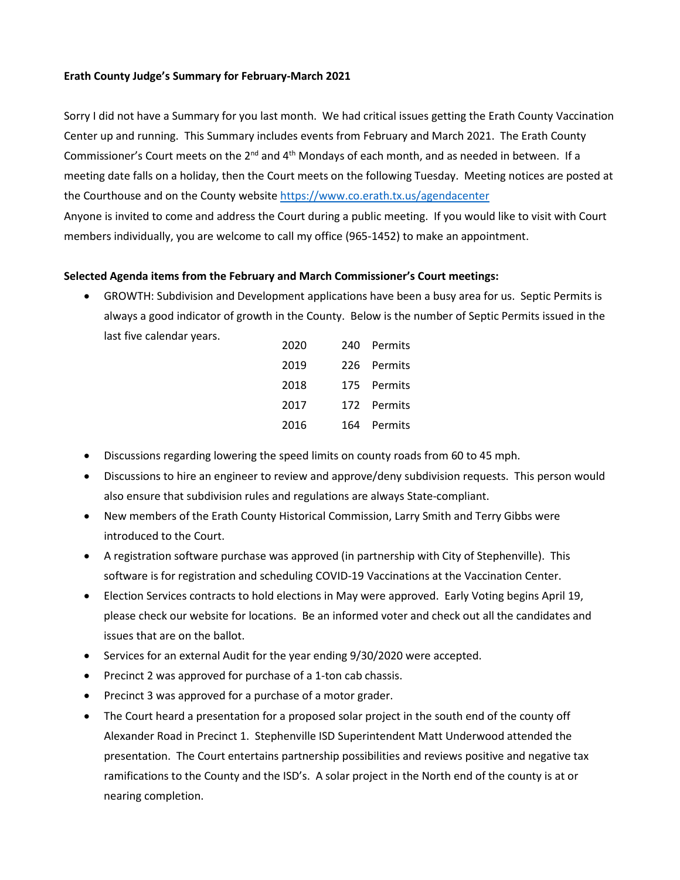## **Erath County Judge's Summary for February-March 2021**

Sorry I did not have a Summary for you last month. We had critical issues getting the Erath County Vaccination Center up and running. This Summary includes events from February and March 2021. The Erath County Commissioner's Court meets on the 2<sup>nd</sup> and 4<sup>th</sup> Mondays of each month, and as needed in between. If a meeting date falls on a holiday, then the Court meets on the following Tuesday. Meeting notices are posted at the Courthouse and on the County websit[e https://www.co.erath.tx.us/agendacenter](https://www.co.erath.tx.us/agendacenter) Anyone is invited to come and address the Court during a public meeting. If you would like to visit with Court

## **Selected Agenda items from the February and March Commissioner's Court meetings:**

members individually, you are welcome to call my office (965-1452) to make an appointment.

• GROWTH: Subdivision and Development applications have been a busy area for us. Septic Permits is always a good indicator of growth in the County. Below is the number of Septic Permits issued in the last five calendar years.

| 2020 | 240 Permits |
|------|-------------|
| 2019 | 226 Permits |
| 2018 | 175 Permits |
| 2017 | 172 Permits |
| 2016 | 164 Permits |

- Discussions regarding lowering the speed limits on county roads from 60 to 45 mph.
- Discussions to hire an engineer to review and approve/deny subdivision requests. This person would also ensure that subdivision rules and regulations are always State-compliant.
- New members of the Erath County Historical Commission, Larry Smith and Terry Gibbs were introduced to the Court.
- A registration software purchase was approved (in partnership with City of Stephenville). This software is for registration and scheduling COVID-19 Vaccinations at the Vaccination Center.
- Election Services contracts to hold elections in May were approved. Early Voting begins April 19, please check our website for locations. Be an informed voter and check out all the candidates and issues that are on the ballot.
- Services for an external Audit for the year ending 9/30/2020 were accepted.
- Precinct 2 was approved for purchase of a 1-ton cab chassis.
- Precinct 3 was approved for a purchase of a motor grader.
- The Court heard a presentation for a proposed solar project in the south end of the county off Alexander Road in Precinct 1. Stephenville ISD Superintendent Matt Underwood attended the presentation. The Court entertains partnership possibilities and reviews positive and negative tax ramifications to the County and the ISD's. A solar project in the North end of the county is at or nearing completion.